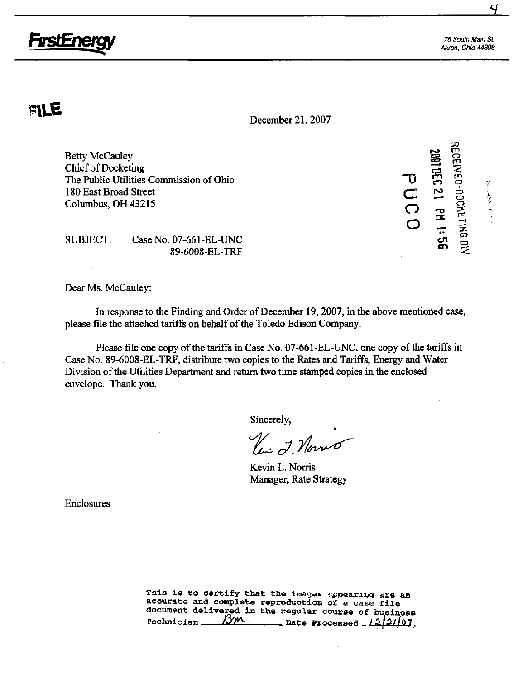

76 South Main St. Akron. Ohio 44308

LOCE LED<br>TO TO BOOM

e<br>S<br>J<br>S<br>J  $\mathbf{\sigma}$  $\Box$   $\equiv$   $\frac{1}{5}$ 

rn

经后置货单 计二次

 $\boldsymbol{\Xi}$ 

 $\bigcap$ 

# PVLE

December 21,2007

Betty McCauley Chief of Docketing The Public Utilities Commission of Ohio 180 East Broad Street Columbus, OH 43215

SUBJECT: Case No. 07-661-EL-UNC 89-6008-EL-TRF

Dear Ms. McCauley:

In response to the Finding and Order of December 19,2007, in the above mentioned case, please file the attached tariffs on behalf of the Toledo Edison Company.

Please file one copy of the tariffs in Case No. 07-661-EL-UNC, one copy of the tariffs in Case No. 89-6008-EL-TRF, distribute two copies to the Rates and Tariffs, Energy and Water Division of the Utilities Department and return two time stamped copies in the enclosed envelope. Thank you.

Sincerely,

Uni 2. Novio

Kevin L. Norris Manager, Rate Strategy

Enclosures

This is to certify that the images appearing are an accurate and complete reproduction of a case file document delivered in the regular course of business<br>rechnician  $\frac{m}{2}$  ate Processed  $12/107$  $\frac{1}{2}$ Date Processed  $\frac{1}{2}$ /2/07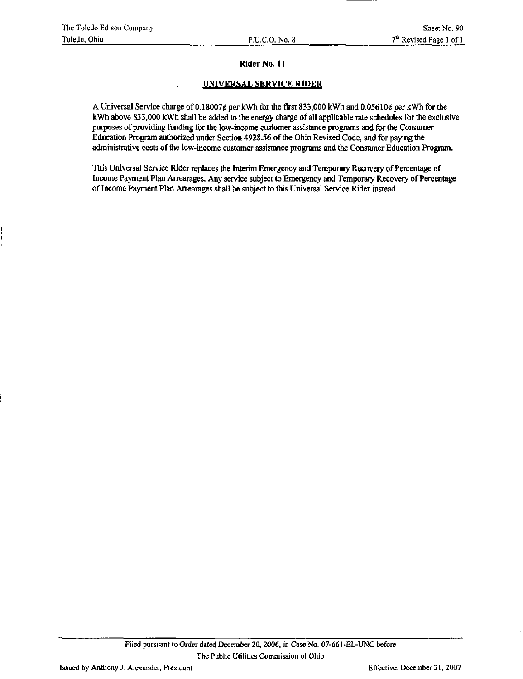#### Rider No. 11

#### UNIVERSAL SERVICE RIDER

A Universal Service charge of 0.18007¢ per kWh for the first 833,000 kWh and 0.05610¢ per kWh for the kWh above 833,000 kWh shall be added to the energy charge of all applicable rate schedules for the exclusive purposes of providing funding for the low-income customer assistance programs and for the Consumer Education Program authorized under Section 4928.56 of the Ohio Revised Code, and for paying the administrative costs of the low-income customer assistance programs and the Consumer Education Program.

This Universal Service Rider replaces the Interim Emergency and Temporary Recovery of Percentage of Income Payment Plan Arrearages. Any service subject to Emergency and Temporary Recovery of Percentage of Income Payment Plan Arrearages shall be subject to this Universal Service Rider instead.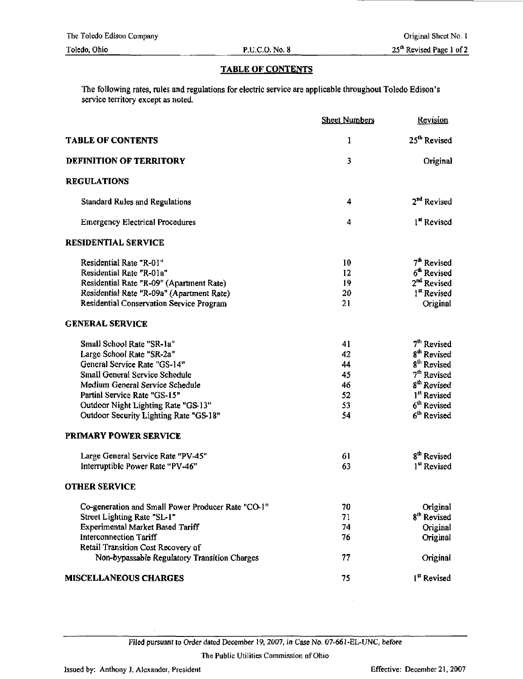### TABLE OF CONTENTS

The following rates, rules and regulations for electric service are applicable throughout Toledo Edison's service territory except as noted.

|                                                                                    | <b>Sheet Numbers</b> | Revision                 |
|------------------------------------------------------------------------------------|----------------------|--------------------------|
| <b>TABLE OF CONTENTS</b>                                                           | 1                    | 25 <sup>th</sup> Revised |
| <b>DEFINITION OF TERRITORY</b>                                                     | 3                    | Original                 |
| <b>REGULATIONS</b>                                                                 |                      |                          |
| Standard Rules and Regulations                                                     | 4                    | 2 <sup>nd</sup> Revised  |
| <b>Emergency Electrical Procedures</b>                                             | 4                    | 1 <sup>st</sup> Revised  |
| <b>RESIDENTIAL SERVICE</b>                                                         |                      |                          |
| Residential Rate "R-01"                                                            | 10                   | 7 <sup>th</sup> Revised  |
| Residential Rate "R-01a"                                                           | 12                   | 6 <sup>th</sup> Revised  |
| Residential Rate "R-09" (Apartment Rate)                                           | 19                   | 2 <sup>nd</sup> Revised  |
| Residential Rate "R-09a" (Apartment Rate)                                          | 20                   | 1 <sup>st</sup> Revised  |
| Residential Conservation Service Program                                           | 21                   | Original                 |
| <b>GENERAL SERVICE</b>                                                             |                      |                          |
| Small School Rate "SR-1a"                                                          | 41                   | 7 <sup>th</sup> Revised  |
| Large School Rate "SR-2a"                                                          | 42                   | 8 <sup>th</sup> Revised  |
| General Service Rate "GS-14"                                                       | 44                   | 8 <sup>th</sup> Revised  |
| Small General Service Schedule                                                     | 45                   | $7th$ Revised            |
| Medium General Service Schedule                                                    | 46                   | 8 <sup>th</sup> Revised  |
| Partial Service Rate "GS-15"                                                       | 52                   | 1 <sup>st</sup> Revised  |
| Outdoor Night Lighting Rate "GS-13"                                                | 53                   | 6 <sup>th</sup> Revised  |
| Outdoor Security Lighting Rate "GS-18"                                             | 54                   | 6 <sup>th</sup> Revised  |
| PRIMARY POWER SERVICE                                                              |                      |                          |
| Large General Service Rate "PV-45"                                                 | 61                   | 8 <sup>th</sup> Revised  |
| Interruptible Power Rate "PV-46"                                                   | 63                   | 1 <sup>st</sup> Revised  |
| <b>OTHER SERVICE</b>                                                               |                      |                          |
| Co-generation and Small Power Producer Rate "CO-1"                                 | 70                   | Original                 |
| Street Lighting Rate "SL-1"                                                        | 71                   | 8 <sup>th</sup> Revised  |
| Experimental Market Based Tariff                                                   | 74                   | Original                 |
| <b>Interconnection Tariff</b>                                                      | 76                   | Original                 |
| Retail Transition Cost Recovery of<br>Non-bypassable Regulatory Transition Charges | 77                   | Original                 |
|                                                                                    |                      |                          |
| <b>MISCELLANEOUS CHARGES</b>                                                       | 75                   | 1 <sup>st</sup> Revised  |

Filed pursuant to Order dated December 19, 2007, in Case No. 07-661-EL-UNC, before